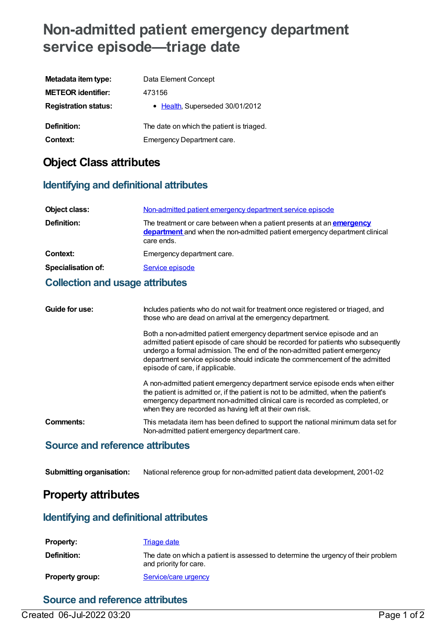# **Non-admitted patient emergency department service episode—triage date**

| Metadata item type:         | Data Element Concept                      |
|-----------------------------|-------------------------------------------|
| <b>METEOR identifier:</b>   | 473156                                    |
| <b>Registration status:</b> | • Health, Superseded 30/01/2012           |
| Definition:                 | The date on which the patient is triaged. |
| Context:                    | Emergency Department care.                |

## **Object Class attributes**

### **Identifying and definitional attributes**

| Object class:             | Non-admitted patient emergency department service episode                                                                                                                |
|---------------------------|--------------------------------------------------------------------------------------------------------------------------------------------------------------------------|
| Definition:               | The treatment or care between when a patient presents at an <b>emergency</b><br>department and when the non-admitted patient emergency department clinical<br>care ends. |
| Context:                  | Emergency department care.                                                                                                                                               |
| <b>Specialisation of:</b> | Service episode                                                                                                                                                          |
|                           |                                                                                                                                                                          |

### **Collection and usage attributes**

| Guide for use: | Includes patients who do not wait for treatment once registered or triaged, and<br>those who are dead on arrival at the emergency department.                                                                                                                                                                                                               |
|----------------|-------------------------------------------------------------------------------------------------------------------------------------------------------------------------------------------------------------------------------------------------------------------------------------------------------------------------------------------------------------|
|                | Both a non-admitted patient emergency department service episode and an<br>admitted patient episode of care should be recorded for patients who subsequently<br>undergo a formal admission. The end of the non-admitted patient emergency<br>department service episode should indicate the commencement of the admitted<br>episode of care, if applicable. |
|                | A non-admitted patient emergency department service episode ends when either<br>the patient is admitted or, if the patient is not to be admitted, when the patient's<br>emergency department non-admitted clinical care is recorded as completed, or<br>when they are recorded as having left at their own risk.                                            |
| Comments:      | This metadata item has been defined to support the national minimum data set for<br>Non-admitted patient emergency department care.                                                                                                                                                                                                                         |
|                |                                                                                                                                                                                                                                                                                                                                                             |

### **Source and reference attributes**

**Submitting organisation:** National reference group for non-admitted patient data development, 2001-02

### **Property attributes**

### **Identifying and definitional attributes**

| <b>Property:</b> | Triage date                                                                                                 |
|------------------|-------------------------------------------------------------------------------------------------------------|
| Definition:      | The date on which a patient is assessed to determine the urgency of their problem<br>and priority for care. |
| Property group:  | Service/care urgency                                                                                        |

### **Source and reference attributes**